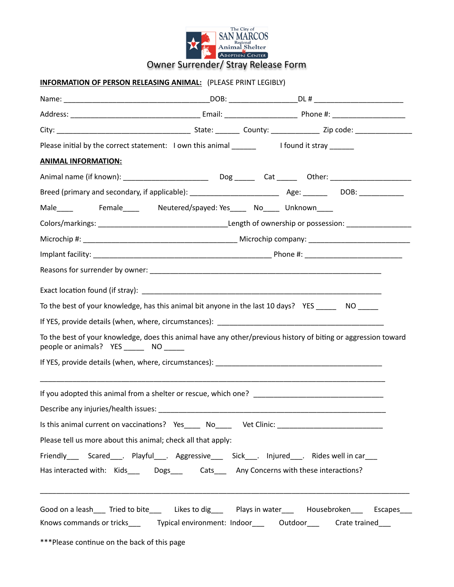

## **INFORMATION OF PERSON RELEASING ANIMAL:** (PLEASE PRINT LEGIBLY)

| <b>ANIMAL INFORMATION:</b>                                                                                                                                  |  |  |
|-------------------------------------------------------------------------------------------------------------------------------------------------------------|--|--|
|                                                                                                                                                             |  |  |
|                                                                                                                                                             |  |  |
| Male______   Female______  Neutered/spayed: Yes_______ No______ Unknown_____                                                                                |  |  |
|                                                                                                                                                             |  |  |
|                                                                                                                                                             |  |  |
|                                                                                                                                                             |  |  |
|                                                                                                                                                             |  |  |
|                                                                                                                                                             |  |  |
| To the best of your knowledge, has this animal bit anyone in the last 10 days? YES ________ NO                                                              |  |  |
|                                                                                                                                                             |  |  |
| To the best of your knowledge, does this animal have any other/previous history of biting or aggression toward<br>people or animals? YES ________ NO ______ |  |  |
|                                                                                                                                                             |  |  |
|                                                                                                                                                             |  |  |
|                                                                                                                                                             |  |  |
| Is this animal current on vaccinations? Yes______ No______ Vet Clinic: _____________________________                                                        |  |  |
| Please tell us more about this animal; check all that apply:                                                                                                |  |  |
| Friendly______Scared____._Playful____._Aggressive______Sick____. Injured____. Rides well in car___                                                          |  |  |
| Has interacted with: Kids________Dogs________Cats_______Any Concerns with these interactions?                                                               |  |  |
| Good on a leash____ Tried to bite_____ Likes to dig____ Plays in water____ Housebroken___ Escapes___                                                        |  |  |
| Knows commands or tricks_____  Typical environment: Indoor_____  Outdoor_____  Crate trained____                                                            |  |  |
| ***Please continue on the back of this page                                                                                                                 |  |  |